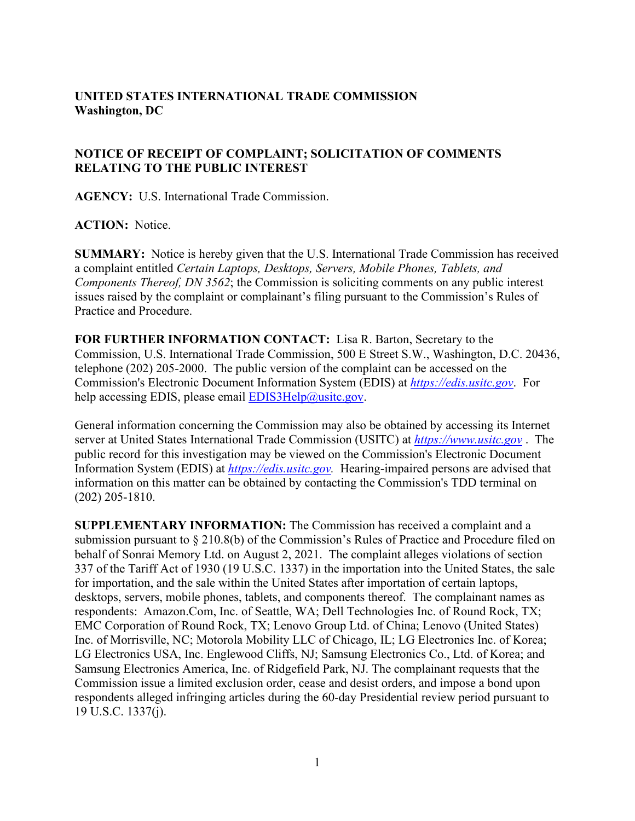## **UNITED STATES INTERNATIONAL TRADE COMMISSION Washington, DC**

## **NOTICE OF RECEIPT OF COMPLAINT; SOLICITATION OF COMMENTS RELATING TO THE PUBLIC INTEREST**

**AGENCY:** U.S. International Trade Commission.

## **ACTION:** Notice.

**SUMMARY:** Notice is hereby given that the U.S. International Trade Commission has received a complaint entitled *Certain Laptops, Desktops, Servers, Mobile Phones, Tablets, and Components Thereof, DN 3562*; the Commission is soliciting comments on any public interest issues raised by the complaint or complainant's filing pursuant to the Commission's Rules of Practice and Procedure.

**FOR FURTHER INFORMATION CONTACT:** Lisa R. Barton, Secretary to the Commission, U.S. International Trade Commission, 500 E Street S.W., Washington, D.C. 20436, telephone (202) 205-2000. The public version of the complaint can be accessed on the Commission's Electronic Document Information System (EDIS) at *[https://edis.usitc.gov](https://edis.usitc.gov/)*. For help accessing EDIS, please email  $EDIS3Help@usite.gov$ .

General information concerning the Commission may also be obtained by accessing its Internet server at United States International Trade Commission (USITC) at *[https://www.usitc.gov](https://www.usitc.gov/)* . The public record for this investigation may be viewed on the Commission's Electronic Document Information System (EDIS) at *[https://edis.usitc.gov.](https://edis.usitc.gov/)* Hearing-impaired persons are advised that information on this matter can be obtained by contacting the Commission's TDD terminal on (202) 205-1810.

**SUPPLEMENTARY INFORMATION:** The Commission has received a complaint and a submission pursuant to § 210.8(b) of the Commission's Rules of Practice and Procedure filed on behalf of Sonrai Memory Ltd. on August 2, 2021. The complaint alleges violations of section 337 of the Tariff Act of 1930 (19 U.S.C. 1337) in the importation into the United States, the sale for importation, and the sale within the United States after importation of certain laptops, desktops, servers, mobile phones, tablets, and components thereof. The complainant names as respondents: Amazon.Com, Inc. of Seattle, WA; Dell Technologies Inc. of Round Rock, TX; EMC Corporation of Round Rock, TX; Lenovo Group Ltd. of China; Lenovo (United States) Inc. of Morrisville, NC; Motorola Mobility LLC of Chicago, IL; LG Electronics Inc. of Korea; LG Electronics USA, Inc. Englewood Cliffs, NJ; Samsung Electronics Co., Ltd. of Korea; and Samsung Electronics America, Inc. of Ridgefield Park, NJ. The complainant requests that the Commission issue a limited exclusion order, cease and desist orders, and impose a bond upon respondents alleged infringing articles during the 60-day Presidential review period pursuant to 19 U.S.C. 1337(j).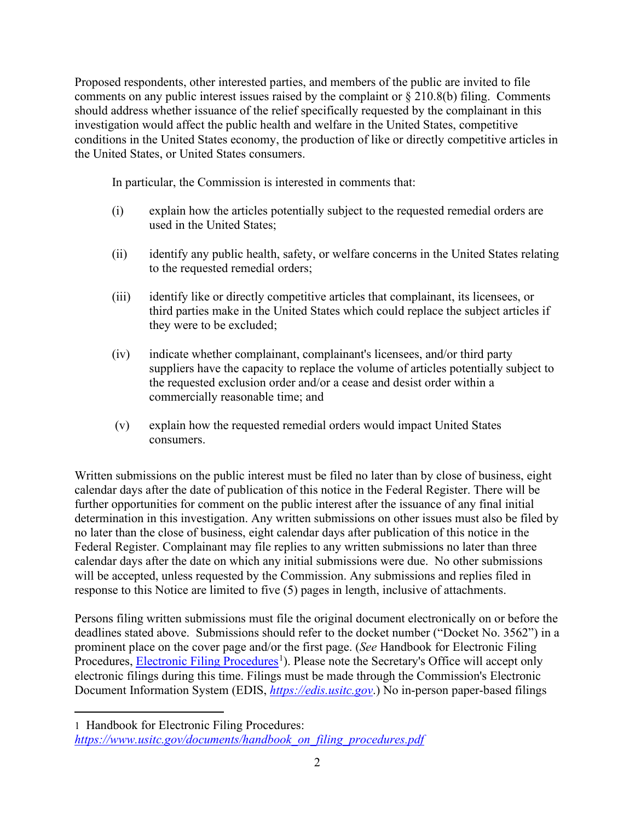Proposed respondents, other interested parties, and members of the public are invited to file comments on any public interest issues raised by the complaint or § 210.8(b) filing. Comments should address whether issuance of the relief specifically requested by the complainant in this investigation would affect the public health and welfare in the United States, competitive conditions in the United States economy, the production of like or directly competitive articles in the United States, or United States consumers.

In particular, the Commission is interested in comments that:

- (i) explain how the articles potentially subject to the requested remedial orders are used in the United States;
- (ii) identify any public health, safety, or welfare concerns in the United States relating to the requested remedial orders;
- (iii) identify like or directly competitive articles that complainant, its licensees, or third parties make in the United States which could replace the subject articles if they were to be excluded;
- (iv) indicate whether complainant, complainant's licensees, and/or third party suppliers have the capacity to replace the volume of articles potentially subject to the requested exclusion order and/or a cease and desist order within a commercially reasonable time; and
- (v) explain how the requested remedial orders would impact United States consumers.

Written submissions on the public interest must be filed no later than by close of business, eight calendar days after the date of publication of this notice in the Federal Register. There will be further opportunities for comment on the public interest after the issuance of any final initial determination in this investigation. Any written submissions on other issues must also be filed by no later than the close of business, eight calendar days after publication of this notice in the Federal Register. Complainant may file replies to any written submissions no later than three calendar days after the date on which any initial submissions were due. No other submissions will be accepted, unless requested by the Commission. Any submissions and replies filed in response to this Notice are limited to five (5) pages in length, inclusive of attachments.

Persons filing written submissions must file the original document electronically on or before the deadlines stated above. Submissions should refer to the docket number ("Docket No. 3562") in a prominent place on the cover page and/or the first page. (*See* Handbook for Electronic Filing Procedures, **Electronic Filing Procedures**<sup>[1](#page-1-0)</sup>). Please note the Secretary's Office will accept only electronic filings during this time. Filings must be made through the Commission's Electronic Document Information System (EDIS, *[https://edis.usitc.gov](https://edis.usitc.gov/)*.) No in-person paper-based filings

<span id="page-1-0"></span><sup>1</sup> Handbook for Electronic Filing Procedures: *[https://www.usitc.gov/documents/handbook\\_on\\_filing\\_procedures.pdf](https://www.usitc.gov/documents/handbook_on_filing_procedures.pdf)*